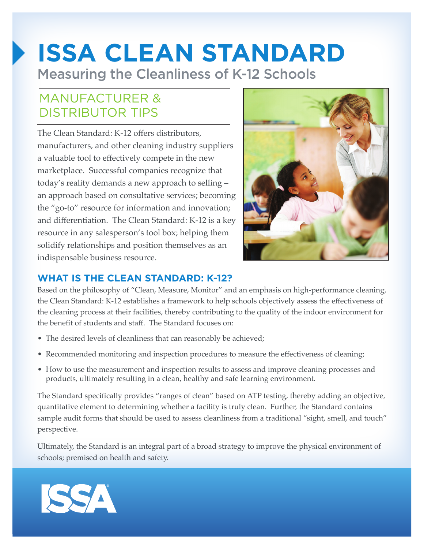# **ISSA CLEAN STANDARD** Measuring the Cleanliness of K-12 Schools

# MANUFACTURER & DISTRIBUTOR TIPS

The Clean Standard: K-12 offers distributors, manufacturers, and other cleaning industry suppliers a valuable tool to effectively compete in the new marketplace. Successful companies recognize that today's reality demands a new approach to selling – an approach based on consultative services; becoming the "go-to" resource for information and innovation; and differentiation. The Clean Standard: K-12 is a key resource in any salesperson's tool box; helping them solidify relationships and position themselves as an indispensable business resource.



## **WHAT IS THE CLEAN STANDARD: K-12?**

Based on the philosophy of "Clean, Measure, Monitor" and an emphasis on high-performance cleaning, the Clean Standard: K-12 establishes a framework to help schools objectively assess the effectiveness of the cleaning process at their facilities, thereby contributing to the quality of the indoor environment for the benefit of students and staff. The Standard focuses on:

- The desired levels of cleanliness that can reasonably be achieved;
- Recommended monitoring and inspection procedures to measure the effectiveness of cleaning;
- How to use the measurement and inspection results to assess and improve cleaning processes and products, ultimately resulting in a clean, healthy and safe learning environment.

The Standard specifically provides "ranges of clean" based on ATP testing, thereby adding an objective, quantitative element to determining whether a facility is truly clean. Further, the Standard contains sample audit forms that should be used to assess cleanliness from a traditional "sight, smell, and touch" perspective.

Ultimately, the Standard is an integral part of a broad strategy to improve the physical environment of schools; premised on health and safety.

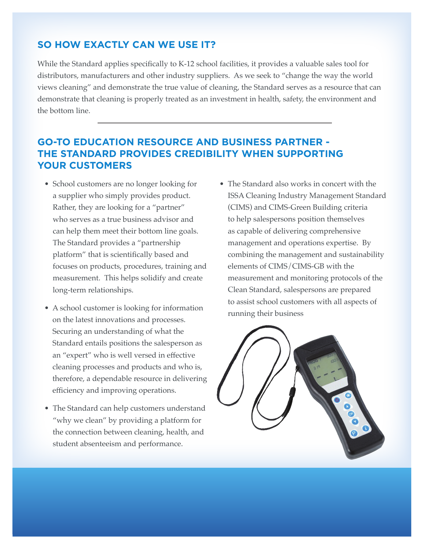#### **SO HOW EXACTLY CAN WE USE IT?**

While the Standard applies specifically to K-12 school facilities, it provides a valuable sales tool for distributors, manufacturers and other industry suppliers. As we seek to "change the way the world views cleaning" and demonstrate the true value of cleaning, the Standard serves as a resource that can demonstrate that cleaning is properly treated as an investment in health, safety, the environment and the bottom line.

#### **GO-TO EDUCATION RESOURCE AND BUSINESS PARTNER - THE STANDARD PROVIDES CREDIBILITY WHEN SUPPORTING YOUR CUSTOMERS**

- School customers are no longer looking for a supplier who simply provides product. Rather, they are looking for a "partner" who serves as a true business advisor and can help them meet their bottom line goals. The Standard provides a "partnership platform" that is scientifically based and focuses on products, procedures, training and measurement. This helps solidify and create long-term relationships.
- A school customer is looking for information on the latest innovations and processes. Securing an understanding of what the Standard entails positions the salesperson as an "expert" who is well versed in effective cleaning processes and products and who is, therefore, a dependable resource in delivering efficiency and improving operations.
- The Standard can help customers understand "why we clean" by providing a platform for the connection between cleaning, health, and student absenteeism and performance.

• The Standard also works in concert with the ISSA Cleaning Industry Management Standard (CIMS) and CIMS-Green Building criteria to help salespersons position themselves as capable of delivering comprehensive management and operations expertise. By combining the management and sustainability elements of CIMS/CIMS-GB with the measurement and monitoring protocols of the Clean Standard, salespersons are prepared to assist school customers with all aspects of running their business

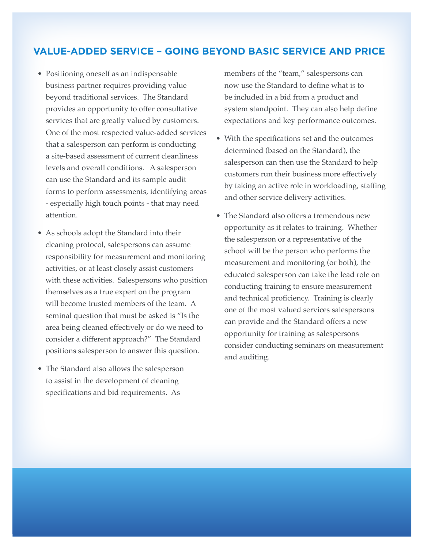#### **VALUE-ADDED SERVICE – GOING BEYOND BASIC SERVICE AND PRICE**

- Positioning oneself as an indispensable business partner requires providing value beyond traditional services. The Standard provides an opportunity to offer consultative services that are greatly valued by customers. One of the most respected value-added services that a salesperson can perform is conducting a site-based assessment of current cleanliness levels and overall conditions. A salesperson can use the Standard and its sample audit forms to perform assessments, identifying areas - especially high touch points - that may need attention.
- As schools adopt the Standard into their cleaning protocol, salespersons can assume responsibility for measurement and monitoring activities, or at least closely assist customers with these activities. Salespersons who position themselves as a true expert on the program will become trusted members of the team. A seminal question that must be asked is "Is the area being cleaned effectively or do we need to consider a different approach?" The Standard positions salesperson to answer this question.
- The Standard also allows the salesperson to assist in the development of cleaning specifications and bid requirements. As

members of the "team," salespersons can now use the Standard to define what is to be included in a bid from a product and system standpoint. They can also help define expectations and key performance outcomes.

- With the specifications set and the outcomes determined (based on the Standard), the salesperson can then use the Standard to help customers run their business more effectively by taking an active role in workloading, staffing and other service delivery activities.
- The Standard also offers a tremendous new opportunity as it relates to training. Whether the salesperson or a representative of the school will be the person who performs the measurement and monitoring (or both), the educated salesperson can take the lead role on conducting training to ensure measurement and technical proficiency. Training is clearly one of the most valued services salespersons can provide and the Standard offers a new opportunity for training as salespersons consider conducting seminars on measurement and auditing.